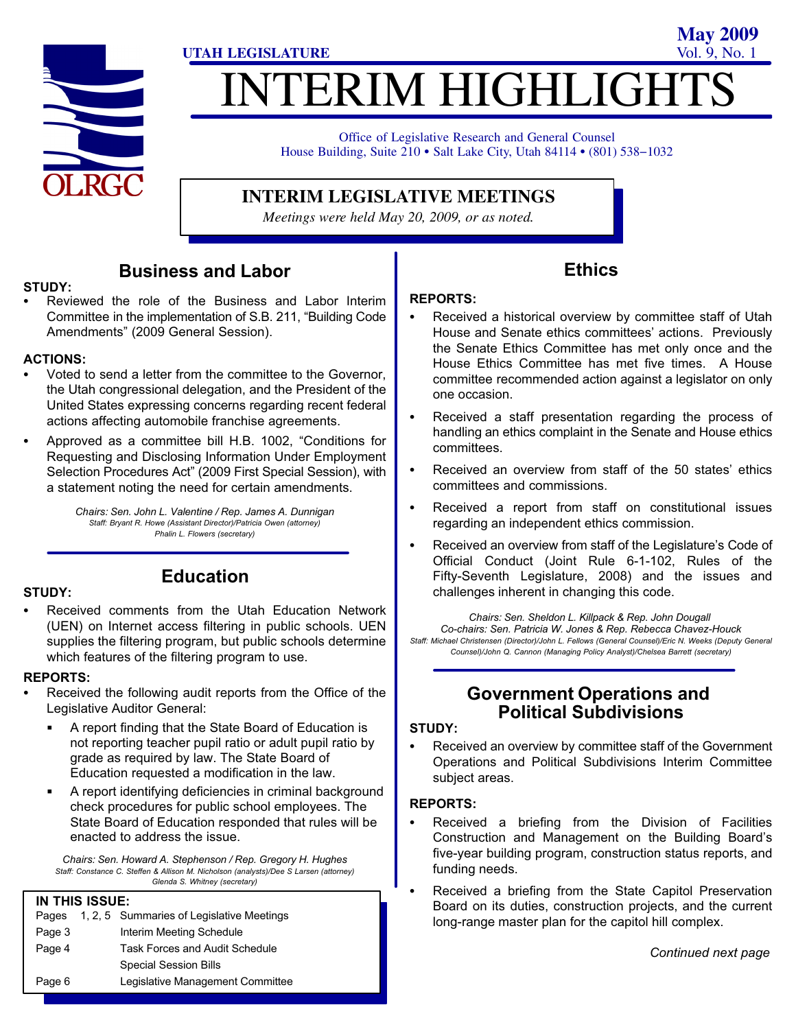

# **ITERIM HIGHLIGHTS UTAH LEGISLATURE** Vol. 9, No. 1

Office of Legislative Research and General Counsel Office of Legislative Research and General Counsel<br>House Building, Suite 210 • Salt Lake City, Utah 84114 • (801) 538–1032

#### **INTERIM LEGISLATIVE MEETINGS**

*Meetings were held May 20, 2009, or as noted.*

#### Business and Labor

#### $\mathsf{STUDY}\colon$

 Reviewed the role of the Business and Labor Interim Committee in the implementation of S.B. 211, "Building Code Amendments" (2009 General Session).

#### ACTIONS: -

- Voted to send a letter from the committee to the Governor, the Utah congressional delegation, and the President of the United States expressing concerns regarding recent federal actions affecting automobile franchise agreements.
- Approved as a committee bill H.B. 1002, "Conditions for Requesting and Disclosing Information Under Employment Selection Procedures Act" (2009 First Special Session), with a statement noting the need for certain amendments.

Chairs: Sen. John L. Valentine / Rep. James A. Dunnigan Staff: Bryant R. Howe (Assistant Director)/Patricia Owen (attorney) Phalin L. Flowers (secretary)

# STUDY: -

#### Education

 Received comments from the Utah Education Network (UEN) on Internet access filtering in public schools. UEN supplies the filtering program, but public schools determine which features of the filtering program to use.

#### REPORTS: -

- Received the following audit reports from the Office of the Legislative Auditor General:
	- A report finding that the State Board of Education is not reporting teacher pupil ratio or adult pupil ratio by grade as required by law. The State Board of Education requested a modification in the law.
	- $\blacksquare$  A report identifying deficiencies in criminal background check procedures for public school employees. The State Board of Education responded that rules will be enacted to address the issue.

Chairs: Sen. Howard A. Stephenson / Rep. Gregory H. Hughes Staff: Constance C. Steffen & Allison M. Nicholson (analysts)/Dee S Larsen (attorney) Glenda S. Whitney (secretary)

#### IN THIS ISSUE:

| Pages  | 1, 2, 5 Summaries of Legislative Meetings |
|--------|-------------------------------------------|
| Page 3 | Interim Meeting Schedule                  |
| Page 4 | <b>Task Forces and Audit Schedule</b>     |
|        | <b>Special Session Bills</b>              |
| Page 6 | Legislative Management Committee          |

#### Ethics

**May 2009**

# REPORTS: -

- Received a historical overview by committee staff of Utah House and Senate ethics committees' actions. Previously the Senate Ethics Committee has met only once and the House Ethics Committee has met five times. A House committee recommended action against a legislator on only one occasion.
- Received a staff presentation regarding the process of handling an ethics complaint in the Senate and House ethics committees.
- Received an overview from staff of the 50 states' ethics committees and commissions.
- Received a report from staff on constitutional issues regarding an independent ethics commission.
- Received an overview from staff of the Legislature's Code of Official Conduct (Joint Rule 6−1−102, Rules of the Fifty−Seventh Legislature, 2008) and the issues and challenges inherent in changing this code.

Chairs: Sen. Sheldon L. Killpack & Rep. John Dougall Co−chairs: Sen. Patricia W. Jones & Rep. Rebecca Chavez−Houck Staff: Michael Christensen (Director)/John L. Fellows (General Counsel)/Eric N. Weeks (Deputy General Counsel)/John Q. Cannon (Managing Policy Analyst)/Chelsea Barrett (secretary)

#### Government Operations and Political Subdivisions

### STUDY:<br>\_\_

 Received an overview by committee staff of the Government Operations and Political Subdivisions Interim Committee subject areas.

# REPORTS: -

- Received a briefing from the Division of Facilities Construction and Management on the Building Board's five−year building program, construction status reports, and funding needs.
- Received a briefing from the State Capitol Preservation Board on its duties, construction projects, and the current long−range master plan for the capitol hill complex.

Continued next page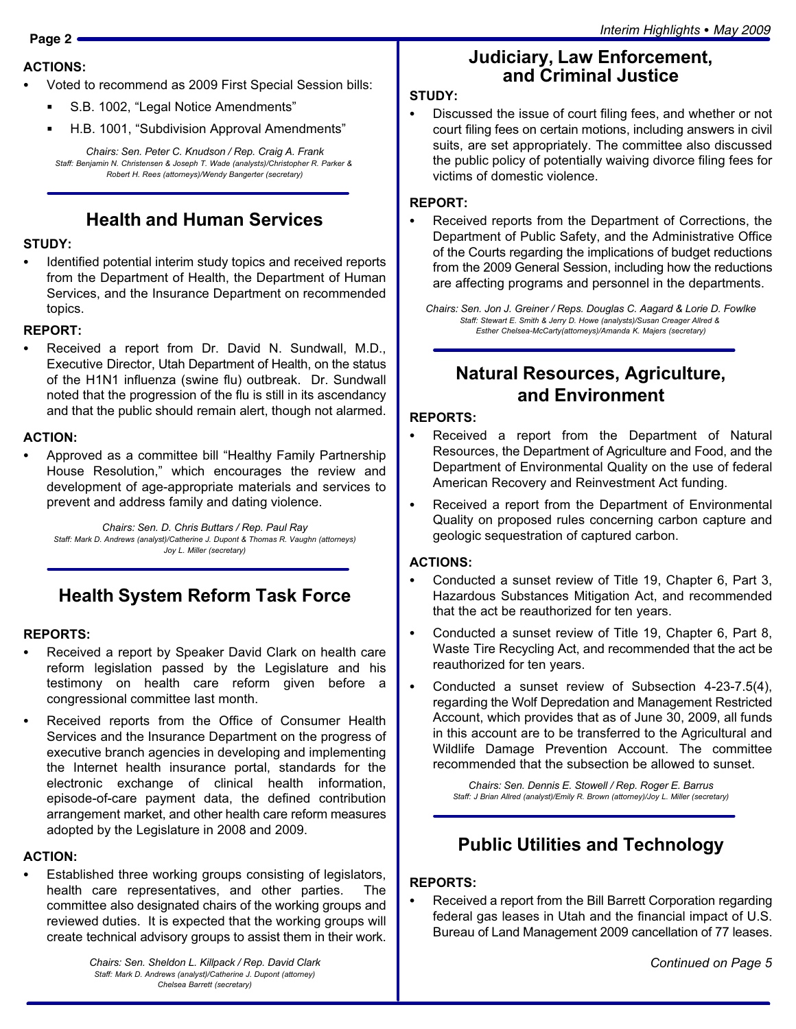# ACTIONS: -

- Voted to recommend as 2009 First Special Session bills:
	- $\blacksquare$ ■ S.B. 1002, "Legal Notice Amendments"
	- $\blacksquare$ ■ H.B. 1001, "Subdivision Approval Amendments"

Chairs: Sen. Peter C. Knudson / Rep. Craig A. Frank Staff: Benjamin N. Christensen & Joseph T. Wade (analysts)/Christopher R. Parker & Robert H. Rees (attorneys)/Wendy Bangerter (secretary)

### Health and Human Services

# STUDY:<br>..

 Identified potential interim study topics and received reports from the Department of Health, the Department of Human Services, and the Insurance Department on recommended topics.

# REPORT:

 Received a report from Dr. David N. Sundwall, M.D., Executive Director, Utah Department of Health, on the status of the H1N1 influenza (swine flu) outbreak. Dr. Sundwall noted that the progression of the flu is still in its ascendancy and that the public should remain alert, though not alarmed.

# ACTION: -

• Approved as a committee bill "Healthy Family Partnership House Resolution," which encourages the review and development of age−appropriate materials and services to prevent and address family and dating violence.

Chairs: Sen. D. Chris Buttars / Rep. Paul Ray Staff: Mark D. Andrews (analyst)/Catherine J. Dupont & Thomas R. Vaughn (attorneys) Joy L. Miller (secretary)

#### Health System Reform Task Force

### REPORTS:<br>—

- Received a report by Speaker David Clark on health care reform legislation passed by the Legislature and his testimony on health care reform given before a congressional committee last month.
- Received reports from the Office of Consumer Health Services and the Insurance Department on the progress of executive branch agencies in developing and implementing the Internet health insurance portal, standards for the electronic exchange of clinical health information, episode−of−care payment data, the defined contribution arrangement market, and other health care reform measures adopted by the Legislature in 2008 and 2009.

# ACTION: -

 Established three working groups consisting of legislators, health care representatives, and other parties. The committee also designated chairs of the working groups and reviewed duties. It is expected that the working groups will create technical advisory groups to assist them in their work.

> Chairs: Sen. Sheldon L. Killpack / Rep. David Clark Staff: Mark D. Andrews (analyst)/Catherine J. Dupont (attorney) Chelsea Barrett (secretary)

#### Judiciary, Law Enforcement, and Criminal Justice

# STUDY:<br>--

 Discussed the issue of court filing fees, and whether or not court filing fees on certain motions, including answers in civil suits, are set appropriately. The committee also discussed the public policy of potentially waiving divorce filing fees for victims of domestic violence.

# REPORT: -

 Received reports from the Department of Corrections, the Department of Public Safety, and the Administrative Office of the Courts regarding the implications of budget reductions from the 2009 General Session, including how the reductions are affecting programs and personnel in the departments.

Chairs: Sen. Jon J. Greiner / Reps. Douglas C. Aagard & Lorie D. Fowlke Staff: Stewart E. Smith & Jerry D. Howe (analysts)/Susan Creager Allred & Esther Chelsea−McCarty(attorneys)/Amanda K. Majers (secretary)

#### Natural Resources, Agriculture, and Environment

# REPORTS: -

- Received a report from the Department of Natural Resources, the Department of Agriculture and Food, and the Department of Environmental Quality on the use of federal American Recovery and Reinvestment Act funding.
- $\bullet$  Received a report from the Department of Environmental Quality on proposed rules concerning carbon capture and geologic sequestration of captured carbon.

# ACTIONS:

- Conducted a sunset review of Title 19, Chapter 6, Part 3, Hazardous Substances Mitigation Act, and recommended that the act be reauthorized for ten years.
- Conducted a sunset review of Title 19, Chapter 6, Part 8, Waste Tire Recycling Act, and recommended that the act be reauthorized for ten years.
- Conducted a sunset review of Subsection 4−23−7.5(4), regarding the Wolf Depredation and Management Restricted Account, which provides that as of June 30, 2009, all funds in this account are to be transferred to the Agricultural and Wildlife Damage Prevention Account. The committee recommended that the subsection be allowed to sunset.

Chairs: Sen. Dennis E. Stowell / Rep. Roger E. Barrus Staff: J Brian Allred (analyst)/Emily R. Brown (attorney)/Joy L. Miller (secretary)

### Public Utilities and Technology

# REPORTS: -

 Received a report from the Bill Barrett Corporation regarding federal gas leases in Utah and the financial impact of U.S. Bureau of Land Management 2009 cancellation of 77 leases.

Continued on Page 5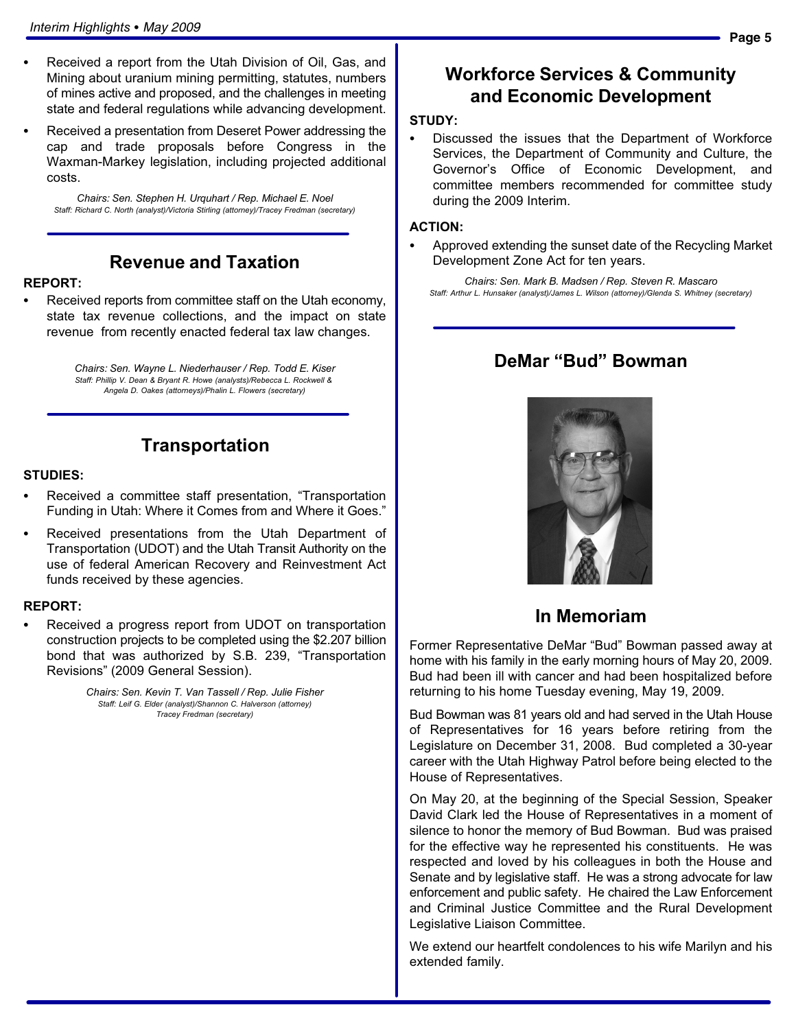- Received a report from the Utah Division of Oil, Gas, and Mining about uranium mining permitting, statutes, numbers of mines active and proposed, and the challenges in meeting state and federal regulations while advancing development.
- Received a presentation from Deseret Power addressing the cap and trade proposals before Congress in the Waxman−Markey legislation, including projected additional costs.

Chairs: Sen. Stephen H. Urquhart / Rep. Michael E. Noel Staff: Richard C. North (analyst)/Victoria Stirling (attorney)/Tracey Fredman (secretary)

### Revenue and Taxation

# REPORT: -

 Received reports from committee staff on the Utah economy, state tax revenue collections, and the impact on state revenue from recently enacted federal tax law changes.

> Chairs: Sen. Wayne L. Niederhauser / Rep. Todd E. Kiser Staff: Phillip V. Dean & Bryant R. Howe (analysts)/Rebecca L. Rockwell & Angela D. Oakes (attorneys)/Phalin L. Flowers (secretary)

# Transportation

#### STUDIES:

- Received a committee staff presentation, "Transportation Funding in Utah: Where it Comes from and Where it Goes."
- Received presentations from the Utah Department of Transportation (UDOT) and the Utah Transit Authority on the use of federal American Recovery and Reinvestment Act funds received by these agencies.

# REPORT: -

 Received a progress report from UDOT on transportation construction projects to be completed using the \$2.207 billion bond that was authorized by S.B. 239, "Transportation Revisions" (2009 General Session).

> Chairs: Sen. Kevin T. Van Tassell / Rep. Julie Fisher Staff: Leif G. Elder (analyst)/Shannon C. Halverson (attorney) Tracey Fredman (secretary)

#### Workforce Services & Community and Economic Development

### STUDY:<br>--

 Discussed the issues that the Department of Workforce Services, the Department of Community and Culture, the Governor's Office of Economic Development, and committee members recommended for committee study during the 2009 Interim.

# ACTION: -

 Approved extending the sunset date of the Recycling Market Development Zone Act for ten years.

Chairs: Sen. Mark B. Madsen / Rep. Steven R. Mascaro Staff: Arthur L. Hunsaker (analyst)/James L. Wilson (attorney)/Glenda S. Whitney (secretary)

#### DeMar "Bud" Bowman



#### In Memoriam

Former Representative DeMar "Bud" Bowman passed away at home with his family in the early morning hours of May 20, 2009. Bud had been ill with cancer and had been hospitalized before returning to his home Tuesday evening, May 19, 2009.

Bud Bowman was 81 years old and had served in the Utah House of Representatives for 16 years before retiring from the Legislature on December 31, 2008. Bud completed a 30−year career with the Utah Highway Patrol before being elected to the House of Representatives.

On May 20, at the beginning of the Special Session, Speaker David Clark led the House of Representatives in a moment of silence to honor the memory of Bud Bowman. Bud was praised for the effective way he represented his constituents. He was respected and loved by his colleagues in both the House and Senate and by legislative staff. He was a strong advocate for law enforcement and public safety. He chaired the Law Enforcement and Criminal Justice Committee and the Rural Development Legislative Liaison Committee.

We extend our heartfelt condolences to his wife Marilyn and his extended family.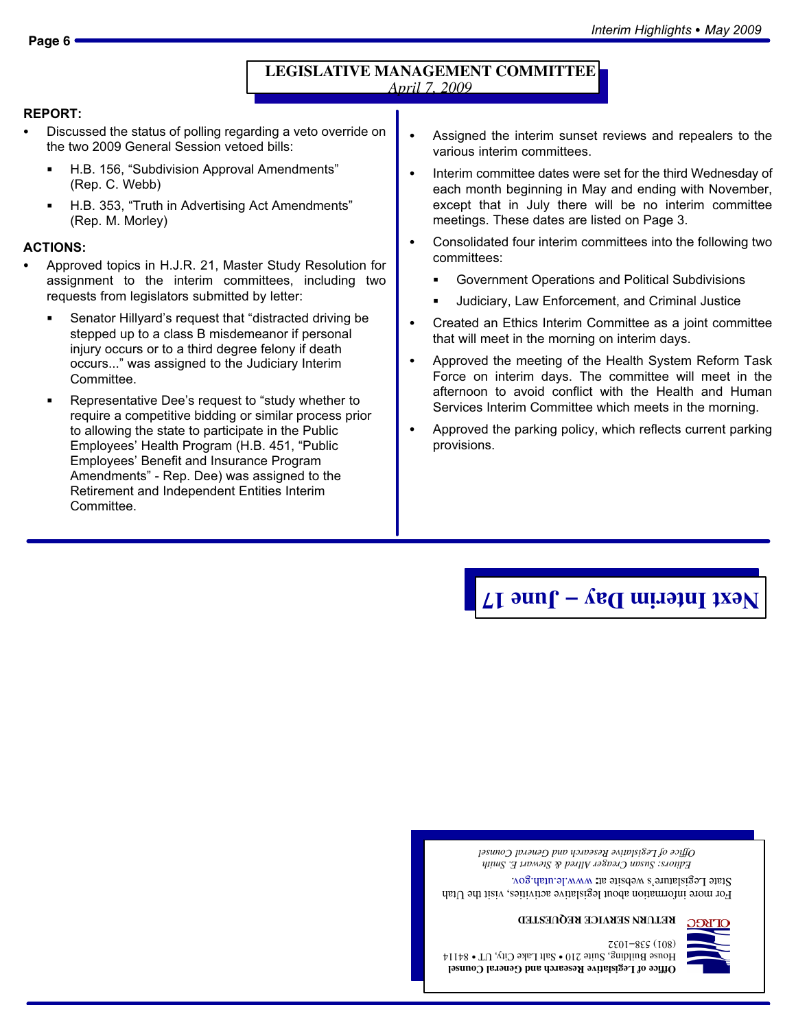# REPORT:<br>--

- Discussed the status of polling regarding a veto override on the two 2009 General Session vetoed bills:
	- $\blacksquare$ ■ H.B. 156, "Subdivision Approval Amendments" (Rep. C. Webb)
	- H.B. 353, "Truth in Advertising Act Amendments" (Rep. M. Morley)

### ACTIONS: -

- Approved topics in H.J.R. 21, Master Study Resolution for assignment to the interim committees, including two requests from legislators submitted by letter:
	- Senator Hillyard's request that "distracted driving be stepped up to a class B misdemeanor if personal injury occurs or to a third degree felony if death occurs..." was assigned to the Judiciary Interim Committee.
	- Representative Dee's request to "study whether to require a competitive bidding or similar process prior to allowing the state to participate in the Public Employees' Health Program (H.B. 451, "Public Employees' Benefit and Insurance Program Amendments" − Rep. Dee) was assigned to the Retirement and Independent Entities Interim Committee.
- Assigned the interim sunset reviews and repealers to the various interim committees.
- Interim committee dates were set for the third Wednesday of each month beginning in May and ending with November, except that in July there will be no interim committee meetings. These dates are listed on Page 3.
- Consolidated four interim committees into the following two committees:
	- Government Operations and Political Subdivisions
	- Judiciary, Law Enforcement, and Criminal Justice
- Created an Ethics Interim Committee as a joint committee that will meet in the morning on interim days.
- Approved the meeting of the Health System Reform Task Force on interim days. The committee will meet in the afternoon to avoid conflict with the Health and Human Services Interim Committee which meets in the morning.
- Approved the parking policy, which reflects current parking provisions.

# **June 17 − Next Interim Day**

*Editors: Susan Creager Allred & Stewart E. Smith Office of Legislative Research and General Counsel*

For more information about legislative activities, visit the Utah State Legislature's website at: www.le.utah.gov.





**Office of Legislative Research and General Counsel**  ${\rm H}$ ouse Building, Suit $\geq 0.1$ a - Salt $\perp$ ake  $\sim 10$  - S4114 7801-885 (108)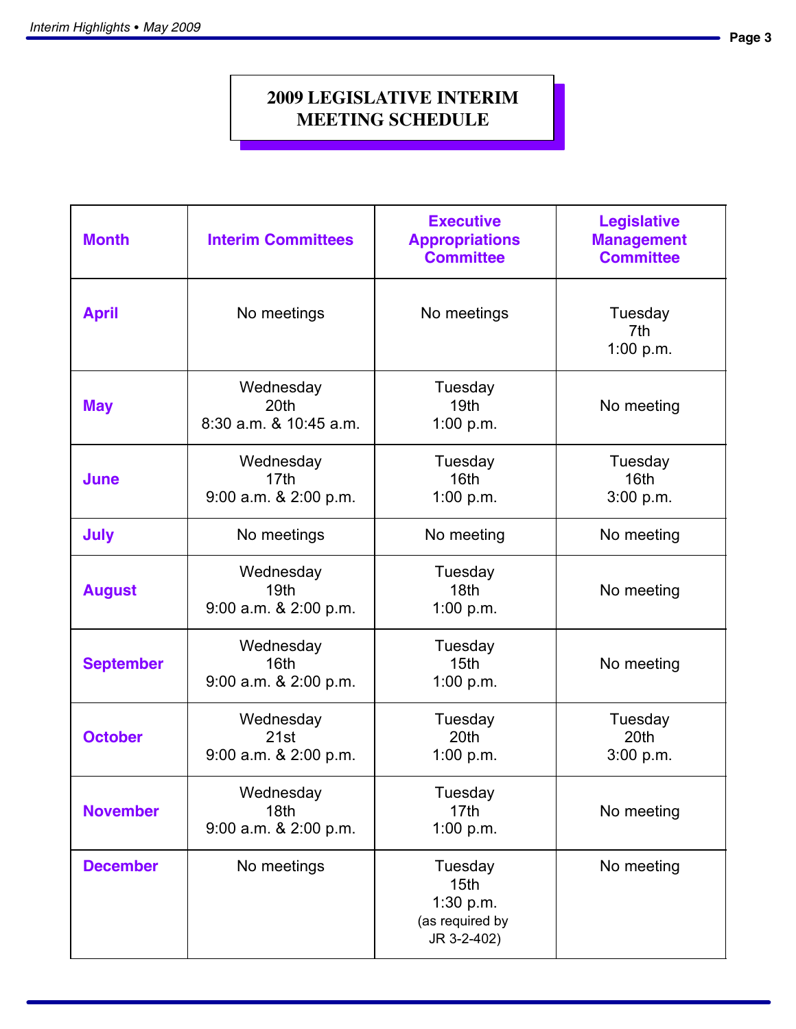# **2009 LEGISLATIVE INTERIM MEETING SCHEDULE**

| <b>Month</b>     | <b>Interim Committees</b>                              | <b>Executive</b><br><b>Appropriations</b><br><b>Committee</b>    | <b>Legislative</b><br><b>Management</b><br><b>Committee</b> |
|------------------|--------------------------------------------------------|------------------------------------------------------------------|-------------------------------------------------------------|
| <b>April</b>     | No meetings                                            | No meetings                                                      | Tuesday<br>7th<br>1:00 p.m.                                 |
| <b>May</b>       | Wednesday<br>20th<br>$8:30$ a.m. $8$ 10:45 a.m.        | Tuesday<br>19 <sub>th</sub><br>1:00 $p.m.$                       | No meeting                                                  |
| June             | Wednesday<br>17th<br>9:00 a.m. & 2:00 p.m.             | Tuesday<br>16th<br>1:00 $p.m.$                                   | Tuesday<br>16 <sub>th</sub><br>3:00 p.m.                    |
| <b>July</b>      | No meetings                                            | No meeting                                                       | No meeting                                                  |
| <b>August</b>    | Wednesday<br>19 <sub>th</sub><br>9:00 a.m. & 2:00 p.m. | Tuesday<br>18 <sub>th</sub><br>1:00 p.m.                         | No meeting                                                  |
| <b>September</b> | Wednesday<br>16th<br>$9:00$ a.m. $8$ 2:00 p.m.         | Tuesday<br>15 <sub>th</sub><br>1:00 $p.m.$                       | No meeting                                                  |
| <b>October</b>   | Wednesday<br>21st<br>9:00 a.m. & 2:00 p.m.             | Tuesday<br>20th<br>1:00 p.m.                                     | Tuesday<br>20th<br>3:00 p.m.                                |
| <b>November</b>  | Wednesday<br>18th<br>9:00 a.m. & 2:00 p.m.             | Tuesday<br>17th<br>1:00 $p.m.$                                   | No meeting                                                  |
| <b>December</b>  | No meetings                                            | Tuesday<br>15th<br>1:30 $p.m.$<br>(as required by<br>JR 3-2-402) | No meeting                                                  |